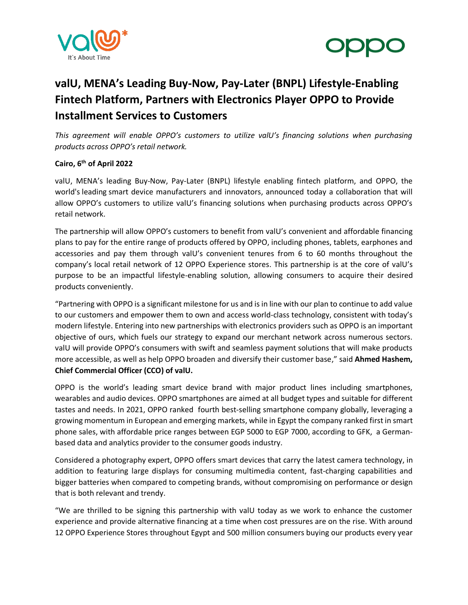



# **valU, MENA's Leading Buy-Now, Pay-Later (BNPL) Lifestyle-Enabling Fintech Platform, Partners with Electronics Player OPPO to Provide Installment Services to Customers**

*This agreement will enable OPPO's customers to utilize valU's financing solutions when purchasing products across OPPO's retail network.*

# **Cairo, 6 th of April 2022**

valU, MENA's leading Buy-Now, Pay-Later (BNPL) lifestyle enabling fintech platform, and OPPO, the world's leading smart device manufacturers and innovators, announced today a collaboration that will allow OPPO's customers to utilize valU's financing solutions when purchasing products across OPPO's retail network.

The partnership will allow OPPO's customers to benefit from valU's convenient and affordable financing plans to pay for the entire range of products offered by OPPO, including phones, tablets, earphones and accessories and pay them through valU's convenient tenures from 6 to 60 months throughout the company's local retail network of 12 OPPO Experience stores. This partnership is at the core of valU's purpose to be an impactful lifestyle-enabling solution, allowing consumers to acquire their desired products conveniently.

"Partnering with OPPO is a significant milestone for us and is in line with our plan to continue to add value to our customers and empower them to own and access world-class technology, consistent with today's modern lifestyle. Entering into new partnerships with electronics providers such as OPPO is an important objective of ours, which fuels our strategy to expand our merchant network across numerous sectors. valU will provide OPPO's consumers with swift and seamless payment solutions that will make products more accessible, as well as help OPPO broaden and diversify their customer base," said **Ahmed Hashem, Chief Commercial Officer (CCO) of valU.**

OPPO is the world's leading smart device brand with major product lines including smartphones, wearables and audio devices. OPPO smartphones are aimed at all budget types and suitable for different tastes and needs. In 2021, OPPO ranked fourth best-selling smartphone company globally, leveraging a growing momentum in European and emerging markets, while in Egypt the company ranked first in smart phone sales, with affordable price ranges between EGP 5000 to EGP 7000, according to GFK, a Germanbased data and analytics provider to the consumer goods industry.

Considered a photography expert, OPPO offers smart devices that carry the latest camera technology, in addition to featuring large displays for consuming multimedia content, fast-charging capabilities and bigger batteries when compared to competing brands, without compromising on performance or design that is both relevant and trendy.

"We are thrilled to be signing this partnership with valU today as we work to enhance the customer experience and provide alternative financing at a time when cost pressures are on the rise. With around 12 OPPO Experience Stores throughout Egypt and 500 million consumers buying our products every year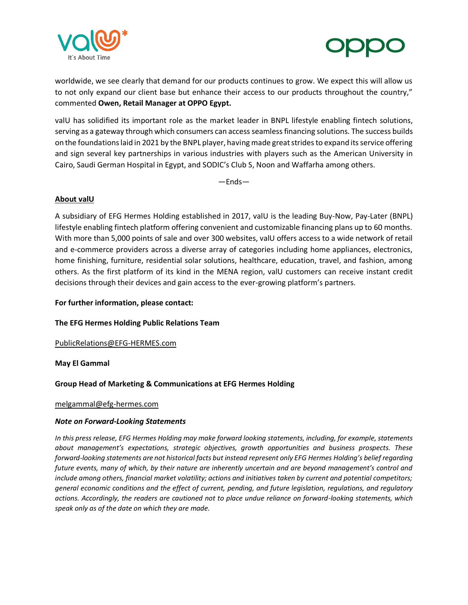



worldwide, we see clearly that demand for our products continues to grow. We expect this will allow us to not only expand our client base but enhance their access to our products throughout the country," commented **Owen, Retail Manager at OPPO Egypt.** 

valU has solidified its important role as the market leader in BNPL lifestyle enabling fintech solutions, serving as a gateway through which consumers can access seamless financing solutions. The success builds on the foundations laid in 2021 by the BNPL player, having made great strides to expand its service offering and sign several key partnerships in various industries with players such as the American University in Cairo, Saudi German Hospital in Egypt, and SODIC's Club S, Noon and Waffarha among others.

—Ends—

## **About valU**

A subsidiary of EFG Hermes Holding established in 2017, valU is the leading Buy-Now, Pay-Later (BNPL) lifestyle enabling fintech platform offering convenient and customizable financing plans up to 60 months. With more than 5,000 points of sale and over 300 websites, valU offers access to a wide network of retail and e-commerce providers across a diverse array of categories including home appliances, electronics, home finishing, furniture, residential solar solutions, healthcare, education, travel, and fashion, among others. As the first platform of its kind in the MENA region, valU customers can receive instant credit decisions through their devices and gain access to the ever-growing platform's partners.

## **For further information, please contact:**

## **The EFG Hermes Holding Public Relations Team**

[PublicRelations@EFG-HERMES.com](mailto:PublicRelations@EFG-HERMES.com)

#### **May El Gammal**

## **Group Head of Marketing & Communications at EFG Hermes Holding**

#### [melgammal@efg-hermes.com](mailto:melgammal@efg-hermes.com)

#### *Note on Forward-Looking Statements*

*In this press release, EFG Hermes Holding may make forward looking statements, including, for example, statements about management's expectations, strategic objectives, growth opportunities and business prospects. These forward-looking statements are not historical facts but instead represent only EFG Hermes Holding's belief regarding future events, many of which, by their nature are inherently uncertain and are beyond management's control and include among others, financial market volatility; actions and initiatives taken by current and potential competitors; general economic conditions and the effect of current, pending, and future legislation, regulations, and regulatory actions. Accordingly, the readers are cautioned not to place undue reliance on forward-looking statements, which speak only as of the date on which they are made.*